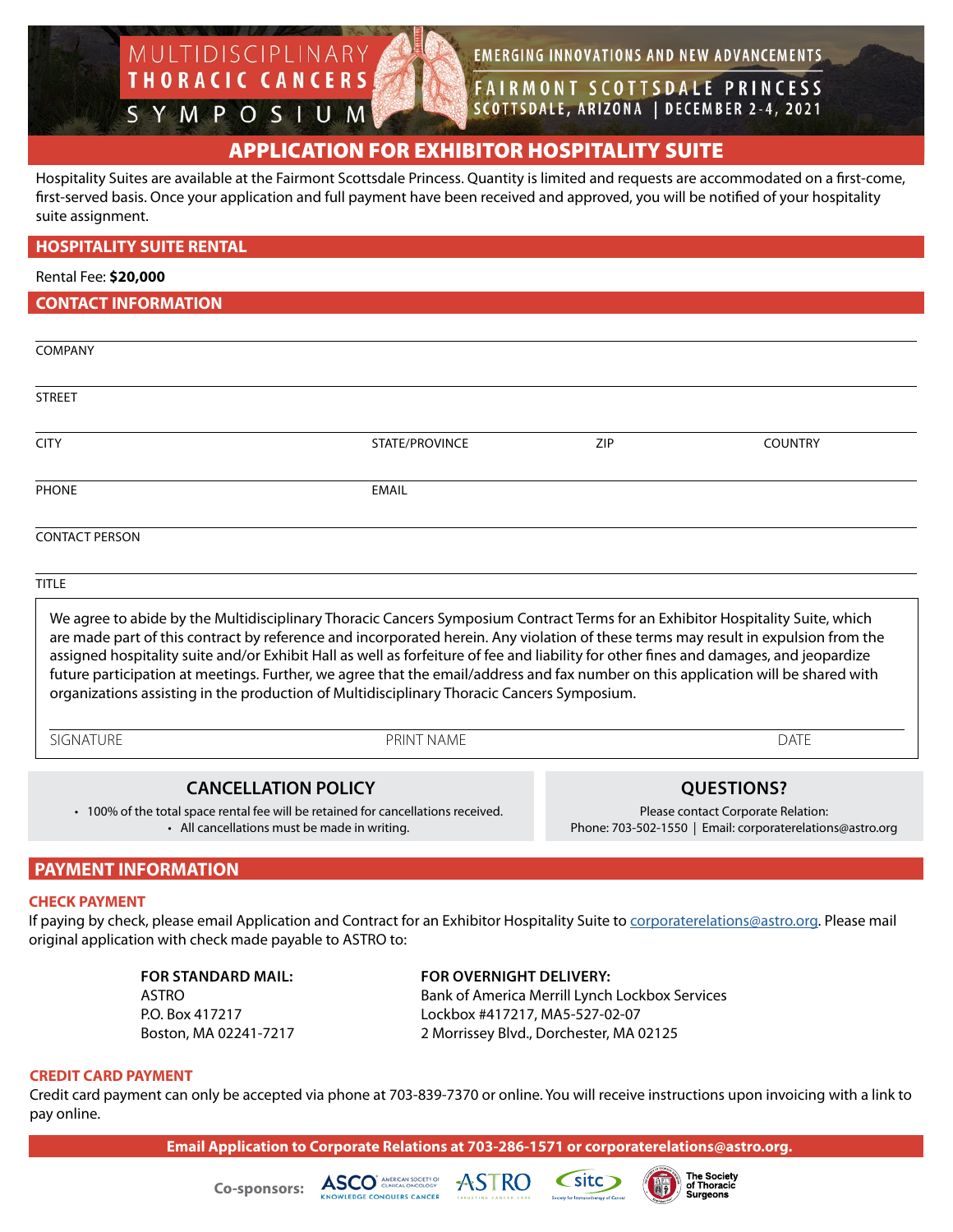**EMERGING INNOVATIONS AND NEW ADVANCEMENTS** 

**FAIRMONT SCOTTSDALE PRINCESS** SCOTTSDALE, ARIZONA | DECEMBER 2-4, 2021

# APPLICATION FOR EXHIBITOR HOSPITALITY SUITE

Hospitality Suites are available at the Fairmont Scottsdale Princess. Quantity is limited and requests are accommodated on a first-come, first-served basis. Once your application and full payment have been received and approved, you will be notified of your hospitality suite assignment.

|  |  | <b>HOSPITALITY SUITE RENTAL</b> |  |
|--|--|---------------------------------|--|
|  |  |                                 |  |

MULTIDISCIPLINARY

THORACIC CANCERS

SYMPOSIUM

Rental Fee: **\$20,000**

**CONTACT INFORMATION**

| COMPANY               |                |     |                |
|-----------------------|----------------|-----|----------------|
| STREET                |                |     |                |
| <b>CITY</b>           | STATE/PROVINCE | ZIP | <b>COUNTRY</b> |
| <b>PHONE</b>          | <b>EMAIL</b>   |     |                |
| <b>CONTACT PERSON</b> |                |     |                |

TITLE

We agree to abide by the Multidisciplinary Thoracic Cancers Symposium Contract Terms for an Exhibitor Hospitality Suite, which are made part of this contract by reference and incorporated herein. Any violation of these terms may result in expulsion from the assigned hospitality suite and/or Exhibit Hall as well as forfeiture of fee and liability for other fines and damages, and jeopardize future participation at meetings. Further, we agree that the email/address and fax number on this application will be shared with organizations assisting in the production of Multidisciplinary Thoracic Cancers Symposium.

SIGNATURE PRINT NAME DATE

### **CANCELLATION POLICY**

• 100% of the total space rental fee will be retained for cancellations received. • All cancellations must be made in writing.

**QUESTIONS?**

Please contact Corporate Relation: Phone: 703-502-1550 | Email: corporaterelations@astro.org

### **PAYMENT INFORMATION**

#### **CHECK PAYMENT**

If paying by check, please email Application and Contract for an Exhibitor Hospitality Suite to corporaterelations@astro.org. Please mail original application with check made payable to ASTRO to:

 **FOR STANDARD MAIL: FOR OVERNIGHT DELIVERY:** ASTRO Bank of America Merrill Lynch Lockbox Services P.O. Box 417217 Lockbox #417217, MA5-527-02-07 Boston, MA 02241-7217 2 Morrissey Blvd., Dorchester, MA 02125

#### **CREDIT CARD PAYMENT**

Credit card payment can only be accepted via phone at 703-839-7370 or online. You will receive instructions upon invoicing with a link to pay online.

**Email Application to Corporate Relations at 703-286-1571 or corporaterelations@astro.org.**





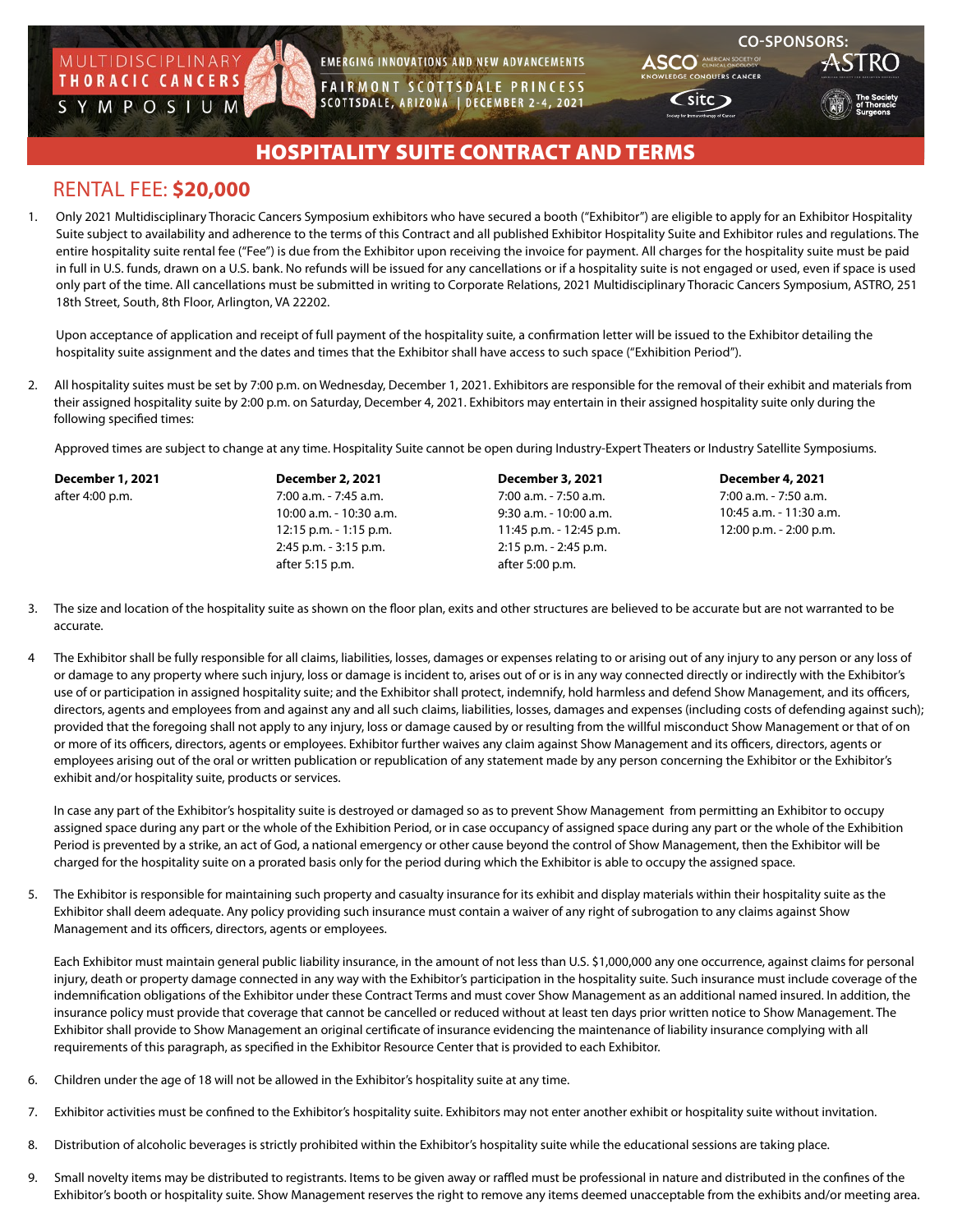

**EMERGING INNOVATIONS AND NEW ADVANCEMENTS** 

**FAIRMONT SCOTTSDALE PRINCESS** SCOTTSDALE, ARIZONA | DECEMBER 2-4, 2021



 $\mathsf{C}\mathsf{site}\mathsf{D}$ 

## HOSPITALITY SUITE CONTRACT AND TERMS

## RENTAL FEE: **\$20,000**

1. Only 2021 Multidisciplinary Thoracic Cancers Symposium exhibitors who have secured a booth ("Exhibitor") are eligible to apply for an Exhibitor Hospitality Suite subject to availability and adherence to the terms of this Contract and all published Exhibitor Hospitality Suite and Exhibitor rules and regulations. The entire hospitality suite rental fee ("Fee") is due from the Exhibitor upon receiving the invoice for payment. All charges for the hospitality suite must be paid in full in U.S. funds, drawn on a U.S. bank. No refunds will be issued for any cancellations or if a hospitality suite is not engaged or used, even if space is used only part of the time. All cancellations must be submitted in writing to Corporate Relations, 2021 Multidisciplinary Thoracic Cancers Symposium, ASTRO, 251 18th Street, South, 8th Floor, Arlington, VA 22202.

Upon acceptance of application and receipt of full payment of the hospitality suite, a confirmation letter will be issued to the Exhibitor detailing the hospitality suite assignment and the dates and times that the Exhibitor shall have access to such space ("Exhibition Period").

2. All hospitality suites must be set by 7:00 p.m. on Wednesday, December 1, 2021. Exhibitors are responsible for the removal of their exhibit and materials from their assigned hospitality suite by 2:00 p.m. on Saturday, December 4, 2021. Exhibitors may entertain in their assigned hospitality suite only during the following specified times:

Approved times are subject to change at any time. Hospitality Suite cannot be open during Industry-Expert Theaters or Industry Satellite Symposiums.

| <b>December 1, 2021</b> | <b>December 2, 2021</b>   | <b>December 3, 2021</b>  | December 4, 2021        |  |
|-------------------------|---------------------------|--------------------------|-------------------------|--|
| after 4:00 p.m.         | 7:00 a.m. - 7:45 a.m.     | 7:00 a.m. - 7:50 a.m.    | 7:00 a.m. - 7:50 a.m.   |  |
|                         | 10:00 a.m. - 10:30 a.m.   | $9:30$ a.m. - 10:00 a.m. | 10:45 a.m. - 11:30 a.m. |  |
|                         | $12:15$ p.m. $-1:15$ p.m. | 11:45 p.m. - 12:45 p.m.  | 12:00 p.m. - 2:00 p.m.  |  |
|                         | 2:45 p.m. - 3:15 p.m.     | 2:15 p.m. - 2:45 p.m.    |                         |  |
|                         | after 5:15 p.m.           | after 5:00 p.m.          |                         |  |

- 3. The size and location of the hospitality suite as shown on the floor plan, exits and other structures are believed to be accurate but are not warranted to be accurate.
- 4 The Exhibitor shall be fully responsible for all claims, liabilities, losses, damages or expenses relating to or arising out of any injury to any person or any loss of or damage to any property where such injury, loss or damage is incident to, arises out of or is in any way connected directly or indirectly with the Exhibitor's use of or participation in assigned hospitality suite; and the Exhibitor shall protect, indemnify, hold harmless and defend Show Management, and its officers, directors, agents and employees from and against any and all such claims, liabilities, losses, damages and expenses (including costs of defending against such); provided that the foregoing shall not apply to any injury, loss or damage caused by or resulting from the willful misconduct Show Management or that of on or more of its officers, directors, agents or employees. Exhibitor further waives any claim against Show Management and its officers, directors, agents or employees arising out of the oral or written publication or republication of any statement made by any person concerning the Exhibitor or the Exhibitor's exhibit and/or hospitality suite, products or services.

 In case any part of the Exhibitor's hospitality suite is destroyed or damaged so as to prevent Show Management from permitting an Exhibitor to occupy assigned space during any part or the whole of the Exhibition Period, or in case occupancy of assigned space during any part or the whole of the Exhibition Period is prevented by a strike, an act of God, a national emergency or other cause beyond the control of Show Management, then the Exhibitor will be charged for the hospitality suite on a prorated basis only for the period during which the Exhibitor is able to occupy the assigned space.

5. The Exhibitor is responsible for maintaining such property and casualty insurance for its exhibit and display materials within their hospitality suite as the Exhibitor shall deem adequate. Any policy providing such insurance must contain a waiver of any right of subrogation to any claims against Show Management and its officers, directors, agents or employees.

 Each Exhibitor must maintain general public liability insurance, in the amount of not less than U.S. \$1,000,000 any one occurrence, against claims for personal injury, death or property damage connected in any way with the Exhibitor's participation in the hospitality suite. Such insurance must include coverage of the indemnification obligations of the Exhibitor under these Contract Terms and must cover Show Management as an additional named insured. In addition, the insurance policy must provide that coverage that cannot be cancelled or reduced without at least ten days prior written notice to Show Management. The Exhibitor shall provide to Show Management an original certificate of insurance evidencing the maintenance of liability insurance complying with all requirements of this paragraph, as specified in the Exhibitor Resource Center that is provided to each Exhibitor.

- 6. Children under the age of 18 will not be allowed in the Exhibitor's hospitality suite at any time.
- 7. Exhibitor activities must be confined to the Exhibitor's hospitality suite. Exhibitors may not enter another exhibit or hospitality suite without invitation.
- 8. Distribution of alcoholic beverages is strictly prohibited within the Exhibitor's hospitality suite while the educational sessions are taking place.
- 9. Small novelty items may be distributed to registrants. Items to be given away or raffled must be professional in nature and distributed in the confines of the Exhibitor's booth or hospitality suite. Show Management reserves the right to remove any items deemed unacceptable from the exhibits and/or meeting area.